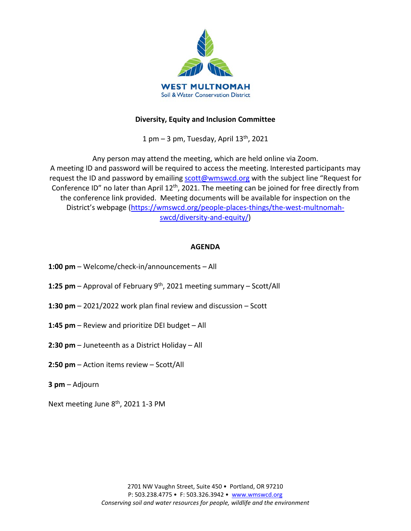

# **Diversity, Equity and Inclusion Committee**

1 pm  $-$  3 pm, Tuesday, April  $13<sup>th</sup>$ , 2021

Any person may attend the meeting, which are held online via Zoom. A meeting ID and password will be required to access the meeting. Interested participants may request the ID and password by emailing [scott@wmswcd.org](mailto:scott@wmswcd.org) with the subject line "Request for Conference ID" no later than April 12<sup>th</sup>, 2021. The meeting can be joined for free directly from the conference link provided. Meeting documents will be available for inspection on the District's webpage [\(https://wmswcd.org/people-places-things/the-west-multnomah](https://wmswcd.org/people-places-things/the-west-multnomah-swcd/diversity-and-equity/)[swcd/diversity-and-equity/\)](https://wmswcd.org/people-places-things/the-west-multnomah-swcd/diversity-and-equity/)

## **AGENDA**

- **1:00 pm**  Welcome/check-in/announcements All
- **1:25 pm** Approval of February 9th, 2021 meeting summary Scott/All
- **1:30 pm** 2021/2022 work plan final review and discussion Scott
- **1:45 pm** Review and prioritize DEI budget All
- **2:30 pm** Juneteenth as a District Holiday All
- **2:50 pm**  Action items review Scott/All
- **3 pm**  Adjourn

Next meeting June 8<sup>th</sup>, 2021 1-3 PM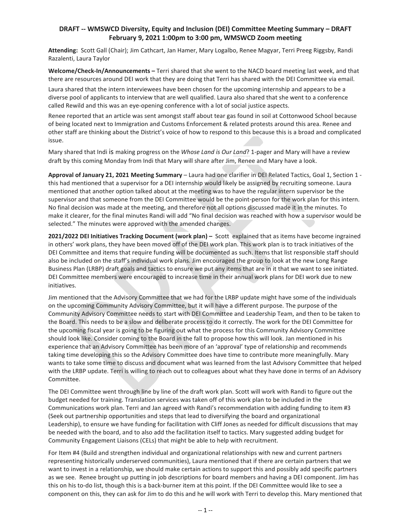## **DRAFT -- WMSWCD Diversity, Equity and Inclusion (DEI) Committee Meeting Summary – DRAFT February 9, 2021 1:00pm to 3:00 pm, WMSWCD Zoom meeting**

**Attending:** Scott Gall (Chair); Jim Cathcart, Jan Hamer, Mary Logalbo, Renee Magyar, Terri Preeg Riggsby, Randi Razalenti, Laura Taylor

**Welcome/Check-In/Announcements –** Terri shared that she went to the NACD board meeting last week, and that there are resources around DEI work that they are doing that Terri has shared with the DEI Committee via email.

Laura shared that the intern interviewees have been chosen for the upcoming internship and appears to be a diverse pool of applicants to interview that are well qualified. Laura also shared that she went to a conference called Rewild and this was an eye-opening conference with a lot of social justice aspects.

Renee reported that an article was sent amongst staff about tear gas found in soil at Cottonwood School because of being located next to Immigration and Customs Enforcement & related protests around this area. Renee and other staff are thinking about the District's voice of how to respond to this because this is a broad and complicated issue.

Mary shared that Indi is making progress on the *Whose Land is Our Land*? 1-pager and Mary will have a review draft by this coming Monday from Indi that Mary will share after Jim, Renee and Mary have a look.

**Approval of January 21, 2021 Meeting Summary** – Laura had one clarifier in DEI Related Tactics, Goal 1, Section 1 this had mentioned that a supervisor for a DEI internship would likely be assigned by recruiting someone. Laura mentioned that another option talked about at the meeting was to have the regular intern supervisor be the supervisor and that someone from the DEI Committee would be the point-person for the work plan for this intern. No final decision was made at the meeting, and therefore not all options discussed made it in the minutes. To make it clearer, for the final minutes Randi will add "No final decision was reached with how a supervisor would be selected." The minutes were approved with the amended changes.

**2021/2022 DEI Initiatives Tracking Document (work plan) –** Scott explained that as items have become ingrained in others' work plans, they have been moved off of the DEI work plan. This work plan is to track initiatives of the DEI Committee and items that require funding will be documented as such. Items that list responsible staff should also be included on the staff's individual work plans. Jim encouraged the group to look at the new Long Range Business Plan (LRBP) draft goals and tactics to ensure we put any items that are in it that we want to see initiated. DEI Committee members were encouraged to increase time in their annual work plans for DEI work due to new initiatives.

Jim mentioned that the Advisory Committee that we had for the LRBP update might have some of the individuals on the upcoming Community Advisory Committee, but it will have a different purpose. The purpose of the Community Advisory Committee needs to start with DEI Committee and Leadership Team, and then to be taken to the Board. This needs to be a slow and deliberate process to do it correctly. The work for the DEI Committee for the upcoming fiscal year is going to be figuring out what the process for this Community Advisory Committee should look like. Consider coming to the Board in the fall to propose how this will look. Jan mentioned in his experience that an Advisory Committee has been more of an 'approval' type of relationship and recommends taking time developing this so the Advisory Committee does have time to contribute more meaningfully. Mary wants to take some time to discuss and document what was learned from the last Advisory Committee that helped with the LRBP update. Terri is willing to reach out to colleagues about what they have done in terms of an Advisory Committee.

The DEI Committee went through line by line of the draft work plan. Scott will work with Randi to figure out the budget needed for training. Translation services was taken off of this work plan to be included in the Communications work plan. Terri and Jan agreed with Randi's recommendation with adding funding to item #3 (Seek out partnership opportunities and steps that lead to diversifying the board and organizational Leadership), to ensure we have funding for facilitation with Cliff Jones as needed for difficult discussions that may be needed with the board, and to also add the facilitation itself to tactics. Mary suggested adding budget for Community Engagement Liaisons (CELs) that might be able to help with recruitment.

For Item #4 (Build and strengthen individual and organizational relationships with new and current partners representing historically underserved communities), Laura mentioned that if there are certain partners that we want to invest in a relationship, we should make certain actions to support this and possibly add specific partners as we see. Renee brought up putting in job descriptions for board members and having a DEI component. Jim has this on his to-do list, though this is a back-burner item at this point. If the DEI Committee would like to see a component on this, they can ask for Jim to do this and he will work with Terri to develop this. Mary mentioned that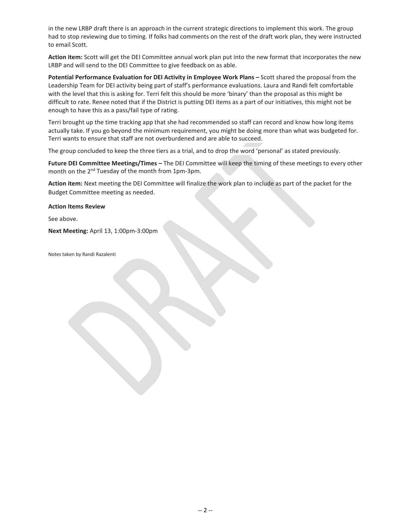in the new LRBP draft there is an approach in the current strategic directions to implement this work. The group had to stop reviewing due to timing. If folks had comments on the rest of the draft work plan, they were instructed to email Scott.

**Action item:** Scott will get the DEI Committee annual work plan put into the new format that incorporates the new LRBP and will send to the DEI Committee to give feedback on as able.

**Potential Performance Evaluation for DEI Activity in Employee Work Plans –** Scott shared the proposal from the Leadership Team for DEI activity being part of staff's performance evaluations. Laura and Randi felt comfortable with the level that this is asking for. Terri felt this should be more 'binary' than the proposal as this might be difficult to rate. Renee noted that if the District is putting DEI items as a part of our initiatives, this might not be enough to have this as a pass/fail type of rating.

Terri brought up the time tracking app that she had recommended so staff can record and know how long items actually take. If you go beyond the minimum requirement, you might be doing more than what was budgeted for. Terri wants to ensure that staff are not overburdened and are able to succeed.

The group concluded to keep the three tiers as a trial, and to drop the word 'personal' as stated previously.

**Future DEI Committee Meetings/Times –** The DEI Committee will keep the timing of these meetings to every other month on the 2nd Tuesday of the month from 1pm-3pm.

**Action item:** Next meeting the DEI Committee will finalize the work plan to include as part of the packet for the Budget Committee meeting as needed.

### **Action Items Review**

See above.

**Next Meeting:** April 13, 1:00pm-3:00pm

Notes taken by Randi Razalenti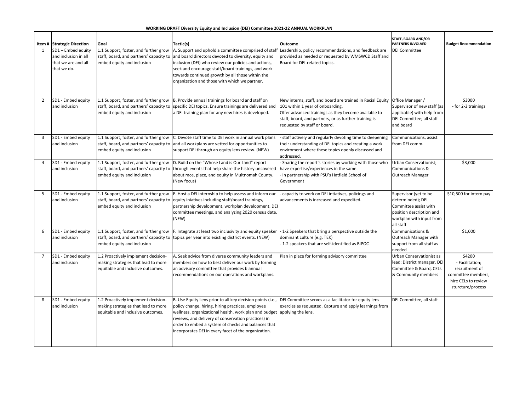### **WORKING DRAFT Diversity Equity and Inclusion (DEI) Committee 2021-22 ANNUAL WORKPLAN**

|                | Item # Strategic Direction | Goal                                    | Tactic(s)<br>Outcome                                                     |                                                            | STAFF, BOARD AND/OR<br><b>PARTNERS INVOLVED</b> | <b>Budget Recommendation</b> |
|----------------|----------------------------|-----------------------------------------|--------------------------------------------------------------------------|------------------------------------------------------------|-------------------------------------------------|------------------------------|
|                |                            |                                         |                                                                          |                                                            |                                                 |                              |
|                | SD1 - Embed equity         | 1.1 Support, foster, and further grow   | A. Support and uphold a committee comprised of staf                      | Leadership, policy recommendations, and feedback are       | <b>DEI Committee</b>                            |                              |
|                | and inclusion in all       | staff, board, and partners' capacity to | and board directors devoted to diversity, equity and                     | provided as needed or requested by WMSWCD Staff and        |                                                 |                              |
|                | that we are and all        | embed equity and inclusion              | inclusion (DEI) who review our policies and actions,                     | Board for DEI-related topics.                              |                                                 |                              |
|                | that we do.                |                                         | seek and encourage staff/board trainings, and work                       |                                                            |                                                 |                              |
|                |                            |                                         | towards continued growth by all those within the                         |                                                            |                                                 |                              |
|                |                            |                                         | organization and those with which we partner.                            |                                                            |                                                 |                              |
|                |                            |                                         |                                                                          |                                                            |                                                 |                              |
|                |                            |                                         |                                                                          |                                                            |                                                 |                              |
| $\overline{2}$ | SD1 - Embed equity         | 1.1 Support, foster, and further grow   | B. Provide annual trainings for board and staff on                       | New interns, staff, and board are trained in Racial Equity | Office Manager /                                | \$3000                       |
|                | and inclusion              | staff, board, and partners' capacity to | specific DEI topics. Ensure trainings are delivered and                  | 101 within 1 year of onboarding.                           | Supervisor of new staff (as                     | - for 2-3 trainings          |
|                |                            | embed equity and inclusion              | a DEI training plan for any new hires is developed.                      | Offer advanced trainings as they become available to       | applicable) with help from                      |                              |
|                |                            |                                         |                                                                          | staff, board, and partners, or as further training is      | DEI Committee; all staff                        |                              |
|                |                            |                                         |                                                                          | requested by staff or board.                               | and board                                       |                              |
|                |                            |                                         |                                                                          |                                                            |                                                 |                              |
| 3              | SD1 - Embed equity         | 1.1 Support, foster, and further grow   | C. Devote staff time to DEI work in annual work plans                    | staff actively and regularly devoting time to deepening    | Communications, assist                          |                              |
|                | and inclusion              | staff, board, and partners' capacity to | and all workplans are vetted for opportunities to                        | their understanding of DEI topics and creating a work      | from DEI comm.                                  |                              |
|                |                            | embed equity and inclusion              | support DEI through an equity lens review. (NEW)                         | enviroment where these topics openly discussed and         |                                                 |                              |
|                |                            |                                         |                                                                          | addressed.                                                 |                                                 |                              |
| $\overline{4}$ | SD1 - Embed equity         | 1.1 Support, foster, and further grow   | D. Build on the "Whose Land is Our Land" report                          | Sharing the report's stories by working with those who     | Urban Conservationist;                          | \$3,000                      |
|                | and inclusion              | staff, board, and partners' capacity to | through events that help share the history uncovered                     | have expertise/experiences in the same.                    | Communications &                                |                              |
|                |                            | embed equity and inclusion              | about race, place, and equity in Multnomah County.                       | In partnership with PSU's Hatfield School of               | Outreach Manager                                |                              |
|                |                            |                                         | (New focus)                                                              | Government                                                 |                                                 |                              |
|                | SD1 - Embed equity         | 1.1 Support, foster, and further grow   | E. Host a DEI internship to help assess and inform our                   | capacity to work on DEI intiatives, policings and          | Supervisor (yet to be                           | \$10,500 for intern pay      |
| 5              | and inclusion              |                                         |                                                                          |                                                            | determinded); DEI                               |                              |
|                |                            | staff, board, and partners' capacity to | equity iniatives including staff/board trainings,                        | advancements is increased and expedited.                   |                                                 |                              |
|                |                            | embed equity and inclusion              | partnership development, workplan development, DEI                       |                                                            | Committee assist with                           |                              |
|                |                            |                                         | committee meetings, and analyzing 2020 census data.                      |                                                            | position description and                        |                              |
|                |                            |                                         | (NEW)                                                                    |                                                            | workplan with input from                        |                              |
| 6              | SD1 - Embed equity         | 1.1 Support, foster, and further grow   | F. Integrate at least two inclusivity and equity speaker                 | -1-2 Speakers that bring a perspective outside the         | all staff<br>Communications &                   | \$1,000                      |
|                |                            |                                         |                                                                          |                                                            |                                                 |                              |
|                | and inclusion              | staff, board, and partners' capacity to | topics per year into existing district events. (NEW)                     | dominant culture (e.g. TEK)                                | Outreach Manager with                           |                              |
|                |                            | embed equity and inclusion              |                                                                          | -1-2 speakers that are self-identified as BIPOC            | support from all staff as                       |                              |
| $\overline{7}$ | SD1 - Embed equity         | 1.2 Proactively implement decision-     | A. Seek advice from diverse community leaders and                        | Plan in place for forming advisory committee               | needed<br>Urban Conservationist as              | \$4200                       |
|                | and inclusion              | making strategies that lead to more     | members on how to best deliver our work by forming                       |                                                            | lead; District manager, DEI                     | - Facilitation;              |
|                |                            |                                         |                                                                          |                                                            |                                                 |                              |
|                |                            | equitable and inclusive outcomes.       | an advisory committee that provides biannual                             |                                                            | Committee & Board, CELs                         | recruitment of               |
|                |                            |                                         | recommendations on our operations and workplans.                         |                                                            | & Community members                             | committee members,           |
|                |                            |                                         |                                                                          |                                                            |                                                 | hire CELs to review          |
|                |                            |                                         |                                                                          |                                                            |                                                 | sturcture/process            |
| 8              | SD1 - Embed equity         | 1.2 Proactively implement decision-     | B. Use Equity Lens prior to all key decision points (i.e.,               | DEI Committee serves as a facilitator for equity lens      | DEI Committee, all staff                        |                              |
|                | and inclusion              | making strategies that lead to more     | policy change, hiring, hiring practices, employee                        | exercies as requested. Capture and apply learnings from    |                                                 |                              |
|                |                            | equitable and inclusive outcomes.       | wellness, organizational health, work plan and budget applying the lens. |                                                            |                                                 |                              |
|                |                            |                                         | reviews, and delivery of conservation practices) in                      |                                                            |                                                 |                              |
|                |                            |                                         | order to embed a system of checks and balances that                      |                                                            |                                                 |                              |
|                |                            |                                         | incorporates DEI in every facet of the organization.                     |                                                            |                                                 |                              |
|                |                            |                                         |                                                                          |                                                            |                                                 |                              |
|                |                            |                                         |                                                                          |                                                            |                                                 |                              |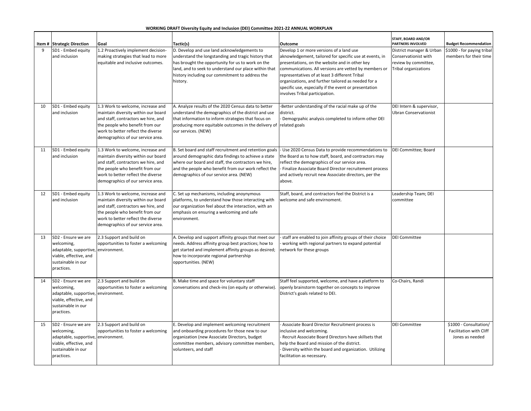### **WORKING DRAFT Diversity Equity and Inclusion (DEI) Committee 2021-22 ANNUAL WORKPLAN**

|    | Item # Strategic Direction                                                                                               | Goal                                                                                                                                                                                                                          | Tactic(s)                                                                                                                                                                                                                                                                       | Outcome                                                                                                                                                                                                                                                                                                                                                                                                            | <b>STAFF, BOARD AND/OR</b><br><b>PARTNERS INVOLVED</b>                                                  | <b>Budget Recommendation</b>                                         |
|----|--------------------------------------------------------------------------------------------------------------------------|-------------------------------------------------------------------------------------------------------------------------------------------------------------------------------------------------------------------------------|---------------------------------------------------------------------------------------------------------------------------------------------------------------------------------------------------------------------------------------------------------------------------------|--------------------------------------------------------------------------------------------------------------------------------------------------------------------------------------------------------------------------------------------------------------------------------------------------------------------------------------------------------------------------------------------------------------------|---------------------------------------------------------------------------------------------------------|----------------------------------------------------------------------|
| 9  | SD1 - Embed equity<br>and inclusion                                                                                      | 1.2 Proactively implement decision-<br>making strategies that lead to more<br>equitable and inclusive outcomes.                                                                                                               | D. Develop and use land acknowledgements to<br>understand the longstanding and tragic history that<br>has brought the opportunity for us to work on the<br>land, and to seek to understand our place within that<br>history including our commitment to address the<br>history. | Develop 1 or more versions of a land use<br>aknowledgement, tailored for specific use at events, in<br>presentations, on the website and in other key<br>communications. All versions are vetted by members or<br>representatives of at least 3 different Tribal<br>organizations, and further tailored as needed for a<br>specific use, especially if the event or presentation<br>involves Tribal participation. | District manager & Urban<br>Conservationist with<br>review by committee,<br><b>Tribal organizations</b> | \$1000 - for paying tribal<br>members for their time                 |
| 10 | SD1 - Embed equity<br>and inclusion                                                                                      | 1.3 Work to welcome, increase and<br>maintain diversity within our board<br>and staff, contractors we hire, and<br>the people who benefit from our<br>work to better reflect the diverse<br>demographics of our service area. | A. Analyze results of the 2020 Census data to better<br>understand the demographics of the district and use<br>that information to inform strategies that focus on<br>producing more equitable outcomes in the delivery of related goals<br>our services. (NEW)                 | -Better understanding of the racial make up of the<br>district.<br>Demogrpahic analysis completed to inform other DEI                                                                                                                                                                                                                                                                                              | DEI Intern & supervisor,<br>Ubran Conservationist                                                       |                                                                      |
| 11 | SD1 - Embed equity<br>and inclusion                                                                                      | 1.3 Work to welcome, increase and<br>maintain diversity within our board<br>and staff, contractors we hire, and<br>the people who benefit from our<br>work to better reflect the diverse<br>demographics of our service area. | B. Set board and staff recruitment and retention goals<br>around demographic data findings to achieve a state<br>where our board and staff, the contractors we hire,<br>and the people who benefit from our work reflect the<br>demographics of our service area. (NEW)         | Use 2020 Census Data to provide recommendations to<br>the Board as to how staff, board, and contractors may<br>reflect the demographics of our service area.<br>Finalize Associate Board Director recruitement process<br>and actively recruit new Associate directors, per the<br>above.                                                                                                                          | DEI Committee; Board                                                                                    |                                                                      |
| 12 | SD1 - Embed equity<br>and inclusion                                                                                      | 1.3 Work to welcome, increase and<br>maintain diversity within our board<br>and staff, contractors we hire, and<br>the people who benefit from our<br>work to better reflect the diverse<br>demographics of our service area. | C. Set up mechanisms, including anoynymous<br>platforms, to understand how those interacting with<br>our organization feel about the interaction, with an<br>emphasis on ensuring a welcoming and safe<br>environment.                                                          | Staff, board, and contractors feel the District is a<br>welcome and safe envirnoment.                                                                                                                                                                                                                                                                                                                              | Leadership Team; DEI<br>committee                                                                       |                                                                      |
| 13 | SD2 - Ensure we are<br>welcoming,<br>adaptable, supportive<br>viable, effective, and<br>sustainable in our<br>practices. | 2.3 Support and build on<br>opportunities to foster a welcoming<br>environment.                                                                                                                                               | A. Develop and support affinity groups that meet our<br>needs. Address affinity group best practices; how to<br>get started and implement affinity groups as desired;<br>how to incorporate regional partnership<br>opportunities. (NEW)                                        | staff are enabled to join affinity groups of their choice<br>working with regional partners to expand potential<br>network for these groups                                                                                                                                                                                                                                                                        | <b>DEI Committee</b>                                                                                    |                                                                      |
| 14 | SD2 - Ensure we are<br>welcoming,<br>adaptable, supportive<br>viable, effective, and<br>sustainable in our<br>practices. | 2.3 Support and build on<br>opportunities to foster a welcoming<br>environment.                                                                                                                                               | B. Make time and space for voluntary staff<br>conversations and check-ins (on equity or otherwise).                                                                                                                                                                             | Staff feel supported, welcome, and have a platform to<br>openly brainstorm together on concepts to improve<br>District's goals related to DEI.                                                                                                                                                                                                                                                                     | Co-Chairs, Randi                                                                                        |                                                                      |
| 15 | SD2 - Ensure we are<br>welcoming,<br>adaptable, supportive<br>viable, effective, and<br>sustainable in our<br>practices. | 2.3 Support and build on<br>opportunities to foster a welcoming<br>environment.                                                                                                                                               | E. Develop and implement welcoming recruitment<br>and onboarding procedures for those new to our<br>organization (new Associate Directors, budget<br>committee members, advisory committee members,<br>volunteers, and staff                                                    | Associate Board Director Recruitment process is<br>nclusive and welcoming.<br>Recruit Associate Board Directors have skillsets that<br>help the Board and mission of the district.<br>Diversity within the board and organization. Utilizing<br>facilitation as necessary.                                                                                                                                         | <b>DEI Committee</b>                                                                                    | \$1000 - Consultation/<br>Facilitation with Cliff<br>Jones as needed |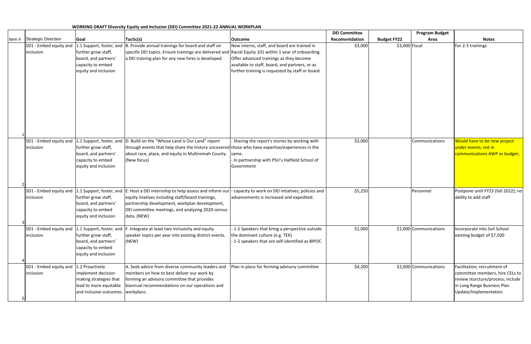|          |                                     |                                                                                                                                  |                                                                                                                                                                                                                                                              |                                                                                                                                                                                               | <b>DEI Committee</b> |                    | <b>Program Budget</b>  |                                                                                                                                                              |
|----------|-------------------------------------|----------------------------------------------------------------------------------------------------------------------------------|--------------------------------------------------------------------------------------------------------------------------------------------------------------------------------------------------------------------------------------------------------------|-----------------------------------------------------------------------------------------------------------------------------------------------------------------------------------------------|----------------------|--------------------|------------------------|--------------------------------------------------------------------------------------------------------------------------------------------------------------|
| Item $#$ | <b>Strategic Direction</b>          | Goal                                                                                                                             | Tactic(s)                                                                                                                                                                                                                                                    | <b>Outcome</b>                                                                                                                                                                                | Recomentdation       | <b>Budget FY22</b> | Area                   | <b>Notes</b>                                                                                                                                                 |
|          | SD1 - Embed equity and<br>inclusion | further grow staff,<br>board, and partners'<br>capacity to embed<br>equity and inclusion                                         | 1.1 Support, foster, and $ B$ . Provide annual trainings for board and staff on<br>specific DEI topics. Ensure trainings are delivered and Racial Equity 101 within 1 year of onboarding.<br>a DEI training plan for any new hires is developed.             | New interns, staff, and board are trained in<br>Offer advanced trainings as they become<br>available to staff, board, and partners, or as<br>further training is requested by staff or board. | \$3,000              | \$3,000 Fiscal     |                        | For 2-3 trainings                                                                                                                                            |
|          | SD1 - Embed equity and<br>inclusion | further grow staff,<br>board, and partners'<br>capacity to embed<br>equity and inclusion                                         | 1.1 Support, foster, and  D. Build on the "Whose Land is Our Land" report<br>through events that help share the history uncovered those who have expertise/experiences in the<br>about race, place, and equity in Multnomah County.<br>(New focus)           | - Sharing the report's stories by working with<br>same.<br>In partnership with PSU's Hatfield School of<br>Government                                                                         | \$3,000              |                    | Communications         | Would have to be new project<br>under events; not in<br>communications AWP or budget;                                                                        |
|          | SD1 - Embed equity and<br>inclusion | further grow staff,<br>board, and partners'<br>capacity to embed<br>equity and inclusion                                         | 1 Support, foster, and $ $ E. Host a DEI internship to help assess and inform our<br>equity iniatives including staff/board trainings,<br>partnership development, workplan development,<br>DEI committee meetings, and analyzing 2020 census<br>data. (NEW) | - capacity to work on DEI intiatives, policies and<br>advancements is increased and expedited.                                                                                                | \$5,250              |                    | Personnel              | Postpone until FY23 (fall 2022); no<br>ability to add staff                                                                                                  |
|          | SD1 - Embed equity and<br>inclusion | 1.1 Support, foster, and<br>further grow staff,<br>board, and partners'<br>capacity to embed<br>equity and inclusion             | . Integrate at least two inclusivity and equity<br>speaker topics per year into existing district events.<br>(NEW)                                                                                                                                           | 1-2 Speakers that bring a perspective outside<br>the dominant culture (e.g. TEK)<br>-1-2 speakers that are self-identified as BIPOC                                                           | \$1,000              |                    | \$1,000 Communications | Incorporate into Soil School<br>existing budget of \$7,500                                                                                                   |
|          | SD1 - Embed equity and<br>inclusion | 1.2 Proactively<br>implement decision-<br>making strategies that<br>lead to more equitable<br>and inclusive outcomes. workplans. | A. Seek advice from diverse community leaders and<br>members on how to best deliver our work by<br>forming an advisory committee that provides<br>biannual recommendations on our operations and                                                             | Plan in place for forming advisory committee                                                                                                                                                  | \$4,200              |                    | \$2,000 Communications | Facilitation; recruitment of<br>committee members, hire CELs to<br>review sturcture/process; include<br>in Long Range Business Plan<br>Update/Implementation |

## **WORKING DRAFT Diversity Equity and Inclusion (DEI) Committee 2021-22 ANNUAL WORKPLAN**